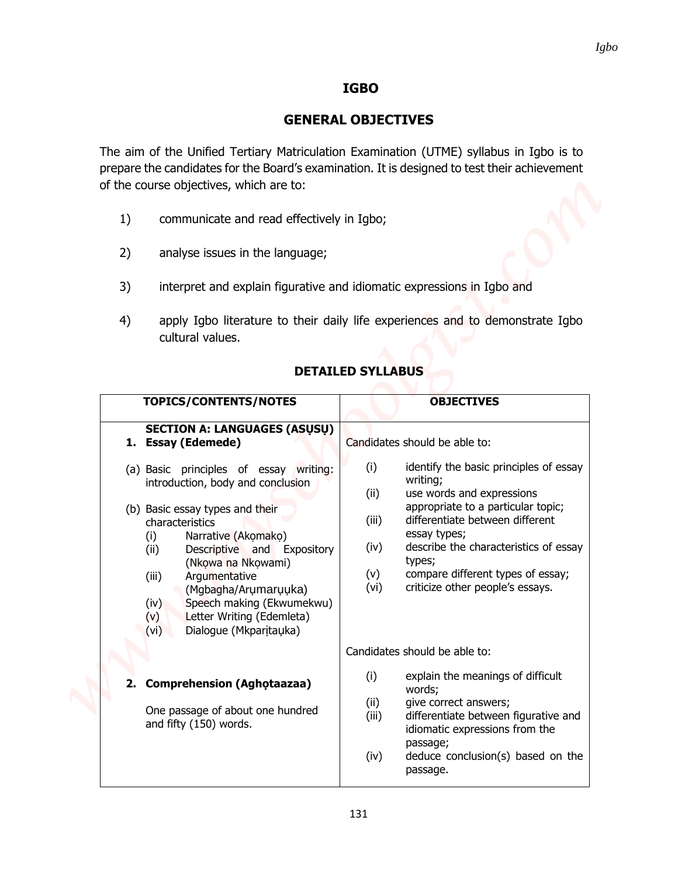## **IGBO**

## **GENERAL OBJECTIVES**

- 1) communicate and read effectively in Igbo;
- 2) analyse issues in the language;
- 3) interpret and explain figurative and idiomatic expressions in Igbo and
- 4) apply Igbo literature to their daily life experiences and to demonstrate Igbo cultural values.

|                                                                                                                                                                                                                                                       | <b>IGBO</b>                                                                                                                                                                                                                                                                                                                                         |
|-------------------------------------------------------------------------------------------------------------------------------------------------------------------------------------------------------------------------------------------------------|-----------------------------------------------------------------------------------------------------------------------------------------------------------------------------------------------------------------------------------------------------------------------------------------------------------------------------------------------------|
|                                                                                                                                                                                                                                                       | <b>GENERAL OBJECTIVES</b>                                                                                                                                                                                                                                                                                                                           |
| of the course objectives, which are to:                                                                                                                                                                                                               | The aim of the Unified Tertiary Matriculation Examination (UTME) syllabus in Igbo is to<br>prepare the candidates for the Board's examination. It is designed to test their achievement                                                                                                                                                             |
| 1)<br>communicate and read effectively in Igbo;                                                                                                                                                                                                       |                                                                                                                                                                                                                                                                                                                                                     |
| 2)<br>analyse issues in the language;                                                                                                                                                                                                                 |                                                                                                                                                                                                                                                                                                                                                     |
| 3)                                                                                                                                                                                                                                                    | interpret and explain figurative and idiomatic expressions in Igbo and                                                                                                                                                                                                                                                                              |
| 4)<br>cultural values.                                                                                                                                                                                                                                | apply Igbo literature to their daily life experiences and to demonstrate Igbo<br><b>DETAILED SYLLABUS</b>                                                                                                                                                                                                                                           |
| TOPICS/CONTENTS/NOTES                                                                                                                                                                                                                                 | <b>OBJECTIVES</b>                                                                                                                                                                                                                                                                                                                                   |
| <b>SECTION A: LANGUAGES (ASUSU)</b><br>1. Essay (Edemede)                                                                                                                                                                                             | Candidates should be able to:                                                                                                                                                                                                                                                                                                                       |
| (a) Basic principles of essay writing:<br>introduction, body and conclusion<br>(b) Basic essay types and their<br>characteristics<br>Narrative (Akomako)<br>(i)<br>Descriptive and Expository<br>(ii)<br>(Nkowa na Nkowami)<br>Argumentative<br>(iii) | (i)<br>identify the basic principles of essay<br>writing;<br>use words and expressions<br>(ii)<br>appropriate to a particular topic;<br>differentiate between different<br>(iii)<br>essay types;<br>describe the characteristics of essay<br>(iv)<br>types;<br>compare different types of essay;<br>(v)<br>criticize other people's essays.<br>(vi) |
| (Mgbagha/Arumaruuka)<br>Speech making (Ekwumekwu)<br>(iv)<br>Letter Writing (Edemleta)<br>(v)<br>Dialogue (Mkparitauka)<br>(vi)                                                                                                                       |                                                                                                                                                                                                                                                                                                                                                     |
| 2. Comprehension (Aghotaazaa)<br>One passage of about one hundred<br>and fifty (150) words.                                                                                                                                                           | Candidates should be able to:<br>explain the meanings of difficult<br>(i)<br>words;<br>give correct answers;<br>(ii)<br>differentiate between figurative and<br>(iii)<br>idiomatic expressions from the                                                                                                                                             |

## **DETAILED SYLLABUS**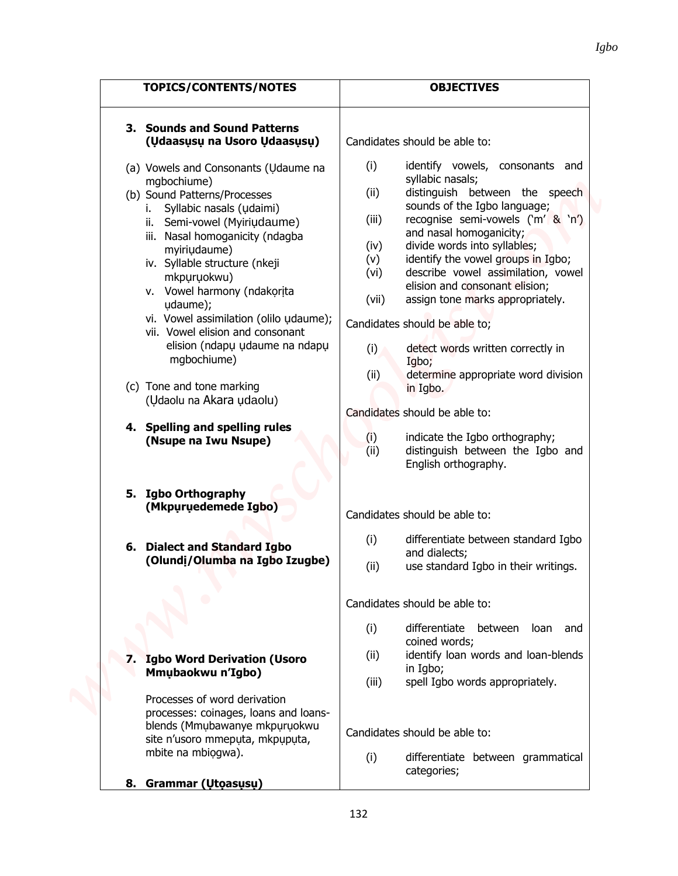| TOPICS/CONTENTS/NOTES                                                                                                                                                                                                                                                                                                                                                                                                                                                                                                                           | <b>OBJECTIVES</b>                                                                                                                                                                                                                                                                                                                                                                                                                                                                                                                                                                                                                                                                                                              |
|-------------------------------------------------------------------------------------------------------------------------------------------------------------------------------------------------------------------------------------------------------------------------------------------------------------------------------------------------------------------------------------------------------------------------------------------------------------------------------------------------------------------------------------------------|--------------------------------------------------------------------------------------------------------------------------------------------------------------------------------------------------------------------------------------------------------------------------------------------------------------------------------------------------------------------------------------------------------------------------------------------------------------------------------------------------------------------------------------------------------------------------------------------------------------------------------------------------------------------------------------------------------------------------------|
| 3. Sounds and Sound Patterns<br>(Ųdaasųsų na Usoro Ųdaasųsų)                                                                                                                                                                                                                                                                                                                                                                                                                                                                                    | Candidates should be able to:                                                                                                                                                                                                                                                                                                                                                                                                                                                                                                                                                                                                                                                                                                  |
| (a) Vowels and Consonants (Udaume na<br>mgbochiume)<br>(b) Sound Patterns/Processes<br>Syllabic nasals (udaimi)<br>ii. Semi-vowel (Myiriudaume)<br>iii. Nasal homoganicity (ndagba<br>myiriudaume)<br>iv. Syllable structure (nkeji<br>mkpuruokwu)<br>v. Vowel harmony (ndakorita<br>udaume);<br>vi. Vowel assimilation (olilo udaume);<br>vii. Vowel elision and consonant<br>elision (ndapu udaume na ndapu<br>mgbochiume)<br>(c) Tone and tone marking<br>(Udaolu na Akara udaolu)<br>4. Spelling and spelling rules<br>(Nsupe na Iwu Nsupe) | (i)<br>identify vowels, consonants and<br>syllabic nasals;<br>distinguish between the speech<br>(ii)<br>sounds of the Igbo language;<br>recognise semi-vowels ('m' & 'n')<br>(iii)<br>and nasal homoganicity;<br>divide words into syllables;<br>(iv)<br>identify the vowel groups in Igbo;<br>(v)<br>describe vowel assimilation, vowel<br>(vi)<br>elision and consonant elision;<br>(vii)<br>assign tone marks appropriately.<br>Candidates should be able to;<br>detect words written correctly in<br>(i)<br>Igbo;<br>(ii)<br>determine appropriate word division<br>in Igbo.<br>Candidates should be able to:<br>indicate the Igbo orthography;<br>(i)<br>distinguish between the Igbo and<br>(ii)<br>English orthography. |
| 5. Igbo Orthography<br>(Mkpuruedemede Igbo)<br>6. Dialect and Standard Igbo<br>(Olundi/Olumba na Igbo Izugbe)                                                                                                                                                                                                                                                                                                                                                                                                                                   | Candidates should be able to:<br>(i)<br>differentiate between standard Igbo<br>and dialects;                                                                                                                                                                                                                                                                                                                                                                                                                                                                                                                                                                                                                                   |
|                                                                                                                                                                                                                                                                                                                                                                                                                                                                                                                                                 | use standard Igbo in their writings.<br>(ii)<br>Candidates should be able to:                                                                                                                                                                                                                                                                                                                                                                                                                                                                                                                                                                                                                                                  |
| 7. Igbo Word Derivation (Usoro<br>Mmubaokwu n'Igbo)                                                                                                                                                                                                                                                                                                                                                                                                                                                                                             | differentiate between<br>(i)<br>loan and<br>coined words;<br>identify loan words and loan-blends<br>(ii)<br>in Igbo;<br>spell Igbo words appropriately.<br>(iii)                                                                                                                                                                                                                                                                                                                                                                                                                                                                                                                                                               |
| Processes of word derivation<br>processes: coinages, loans and loans-<br>blends (Mmubawanye mkpuruokwu<br>site n'usoro mmeputa, mkpuputa,<br>mbite na mbiogwa).                                                                                                                                                                                                                                                                                                                                                                                 | Candidates should be able to:<br>(i)<br>differentiate between grammatical<br>categories;                                                                                                                                                                                                                                                                                                                                                                                                                                                                                                                                                                                                                                       |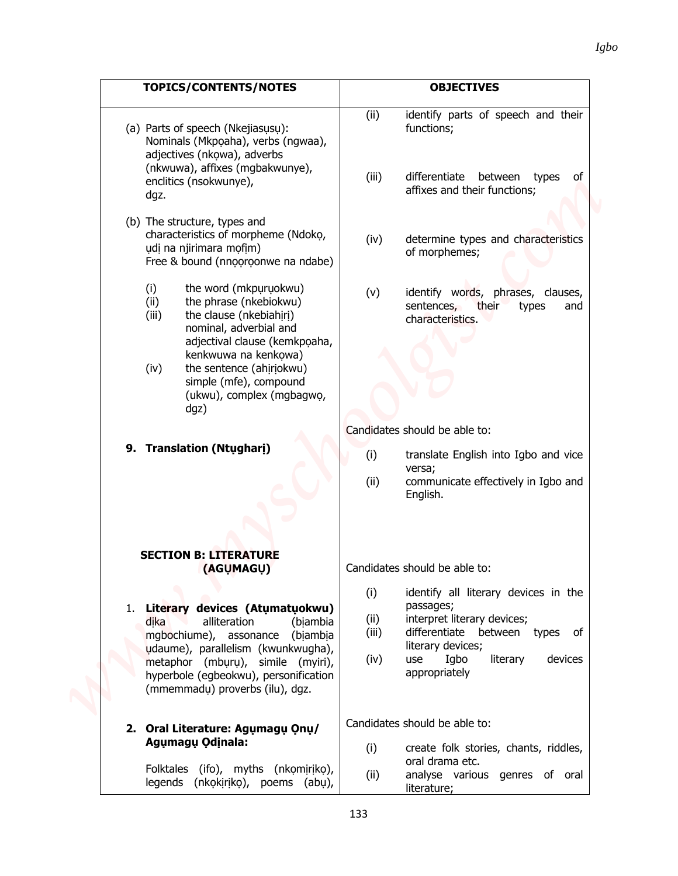| TOPICS/CONTENTS/NOTES                                                                                                                                                                                                                                                                    | <b>OBJECTIVES</b>                                                                                                                                                                                                              |
|------------------------------------------------------------------------------------------------------------------------------------------------------------------------------------------------------------------------------------------------------------------------------------------|--------------------------------------------------------------------------------------------------------------------------------------------------------------------------------------------------------------------------------|
| (a) Parts of speech (Nkejiasusu):<br>Nominals (Mkpoaha), verbs (ngwaa),<br>adjectives (nkowa), adverbs                                                                                                                                                                                   | identify parts of speech and their<br>(ii)<br>functions;                                                                                                                                                                       |
| (nkwuwa), affixes (mgbakwunye),<br>enclitics (nsokwunye),<br>dgz.                                                                                                                                                                                                                        | differentiate<br>(iii)<br>between<br>types<br>of<br>affixes and their functions;                                                                                                                                               |
| (b) The structure, types and<br>characteristics of morpheme (Ndoko,<br>udi na njirimara mofim)<br>Free & bound (nnooroonwe na ndabe)                                                                                                                                                     | determine types and characteristics<br>(iv)<br>of morphemes;                                                                                                                                                                   |
| the word (mkpuruokwu)<br>(i)<br>(ii)<br>the phrase (nkebiokwu)<br>(iii)<br>the clause (nkebiahiri)<br>nominal, adverbial and<br>adjectival clause (kemkpoaha,<br>kenkwuwa na kenkowa)<br>the sentence (ahiriokwu)<br>(iv)<br>simple (mfe), compound<br>(ukwu), complex (mgbagwo,<br>dgz) | identify words, phrases, clauses,<br>(v)<br>sentences,<br>their<br>types<br>and<br>characteristics.                                                                                                                            |
|                                                                                                                                                                                                                                                                                          | Candidates should be able to:                                                                                                                                                                                                  |
| <b>Translation (Ntughari)</b><br>9.                                                                                                                                                                                                                                                      | (i)<br>translate English into Igbo and vice                                                                                                                                                                                    |
|                                                                                                                                                                                                                                                                                          | versa;<br>(ii)<br>communicate effectively in Igbo and<br>English.                                                                                                                                                              |
| <b>SECTION B: LITERATURE</b><br>(AGUMAGU)                                                                                                                                                                                                                                                | Candidates should be able to:                                                                                                                                                                                                  |
| 1. Literary devices (Atumatuokwu)<br>alliteration<br>dika<br>(biambia<br>mgbochiume), assonance<br>(biambia<br>udaume), parallelism (kwunkwugha),<br>metaphor (mburu), simile (myiri),<br>hyperbole (egbeokwu), personification<br>(mmemmadų) proverbs (ilu), dgz.                       | (i)<br>identify all literary devices in the<br>passages;<br>interpret literary devices;<br>(ii)<br>differentiate between types of<br>(iii)<br>literary devices;<br>Igbo<br>devices<br>(iv)<br>use<br>literary<br>appropriately |
| 2. Oral Literature: Agumagu Onu/                                                                                                                                                                                                                                                         | Candidates should be able to:                                                                                                                                                                                                  |
| Agumagu Odinala:                                                                                                                                                                                                                                                                         |                                                                                                                                                                                                                                |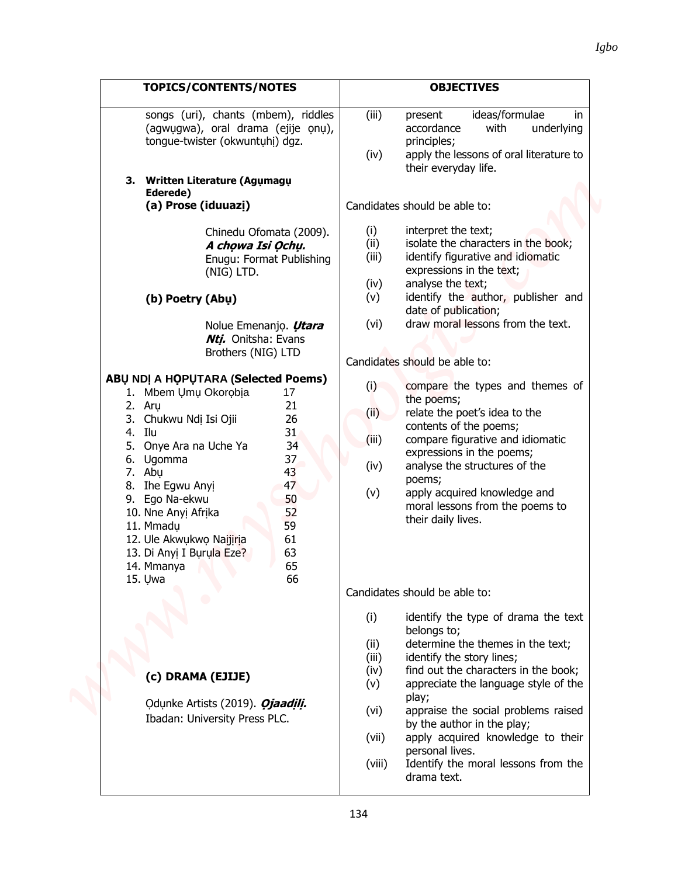| TOPICS/CONTENTS/NOTES                                                                                                                                                                                                                                                                                                                                                                                                                                                                                                                                                                                   | <b>OBJECTIVES</b>                                                                                                                                                                                                                                                                                                                                                                                                                                                                                                                                                                                                                                                                          |
|---------------------------------------------------------------------------------------------------------------------------------------------------------------------------------------------------------------------------------------------------------------------------------------------------------------------------------------------------------------------------------------------------------------------------------------------------------------------------------------------------------------------------------------------------------------------------------------------------------|--------------------------------------------------------------------------------------------------------------------------------------------------------------------------------------------------------------------------------------------------------------------------------------------------------------------------------------------------------------------------------------------------------------------------------------------------------------------------------------------------------------------------------------------------------------------------------------------------------------------------------------------------------------------------------------------|
| songs (uri), chants (mbem), riddles<br>(agwugwa), oral drama (ejije onu),<br>tongue-twister (okwuntuhi) dgz.<br>3. Written Literature (Agumagu<br>Ederede)                                                                                                                                                                                                                                                                                                                                                                                                                                              | ideas/formulae<br>(iii)<br>in<br>present<br>accordance<br>with<br>underlying<br>principles;<br>apply the lessons of oral literature to<br>(iv)<br>their everyday life.                                                                                                                                                                                                                                                                                                                                                                                                                                                                                                                     |
| (a) Prose (iduuazi)                                                                                                                                                                                                                                                                                                                                                                                                                                                                                                                                                                                     | Candidates should be able to:                                                                                                                                                                                                                                                                                                                                                                                                                                                                                                                                                                                                                                                              |
| Chinedu Ofomata (2009).<br>A chọwa Isi Ọchụ.<br>Enugu: Format Publishing<br>(NIG) LTD.<br>(b) Poetry (Abu)<br>Nolue Emenanjo. <i>Utara</i><br><b>Nti.</b> Onitsha: Evans<br>Brothers (NIG) LTD<br>ABU NDI A HOPUTARA (Selected Poems)<br>Mbem Umu Okorobia<br>17<br>2.<br>21<br>Aru<br>26<br>3. Chukwu Ndi Isi Ojii<br>31<br>Ilu<br>4.<br>34<br>Onye Ara na Uche Ya<br>37<br>6.<br>Ugomma<br>7. Abu<br>43<br>47<br>8. Ihe Egwu Anyi<br>50<br>Ego Na-ekwu<br>9.<br>52<br>10. Nne Anyi Afrika<br>59<br>11. Mmadu<br>12. Ule Akwukwo Najjirja<br>61<br>63<br>13. Di Anyi I Burula Eze?<br>65<br>14. Mmanya | interpret the text;<br>(i)<br>isolate the characters in the book;<br>(ii)<br>identify figurative and idiomatic<br>(iii)<br>expressions in the text;<br>analyse the text;<br>(iv)<br>identify the author, publisher and<br>(v)<br>date of publication;<br>draw moral lessons from the text.<br>(vi)<br>Candidates should be able to:<br>(i)<br>compare the types and themes of<br>the poems;<br>relate the poet's idea to the<br>(i)<br>contents of the poems;<br>compare figurative and idiomatic<br>(iii)<br>expressions in the poems;<br>(iv)<br>analyse the structures of the<br>poems;<br>apply acquired knowledge and<br>(v)<br>moral lessons from the poems to<br>their daily lives. |
| 66<br>15. Uwa                                                                                                                                                                                                                                                                                                                                                                                                                                                                                                                                                                                           | Candidates should be able to:                                                                                                                                                                                                                                                                                                                                                                                                                                                                                                                                                                                                                                                              |
| (c) DRAMA (EJIJE)<br>Odunke Artists (2019). <i>Ojaadili.</i>                                                                                                                                                                                                                                                                                                                                                                                                                                                                                                                                            | (i)<br>identify the type of drama the text<br>belongs to;<br>determine the themes in the text;<br>(ii)<br>identify the story lines;<br>(iii)<br>find out the characters in the book;<br>(iv)<br>appreciate the language style of the<br>(v)<br>play;                                                                                                                                                                                                                                                                                                                                                                                                                                       |
| Ibadan: University Press PLC.                                                                                                                                                                                                                                                                                                                                                                                                                                                                                                                                                                           | appraise the social problems raised<br>(vi)<br>by the author in the play;<br>apply acquired knowledge to their<br>(vii)<br>personal lives.<br>Identify the moral lessons from the<br>(viii)                                                                                                                                                                                                                                                                                                                                                                                                                                                                                                |

drama text.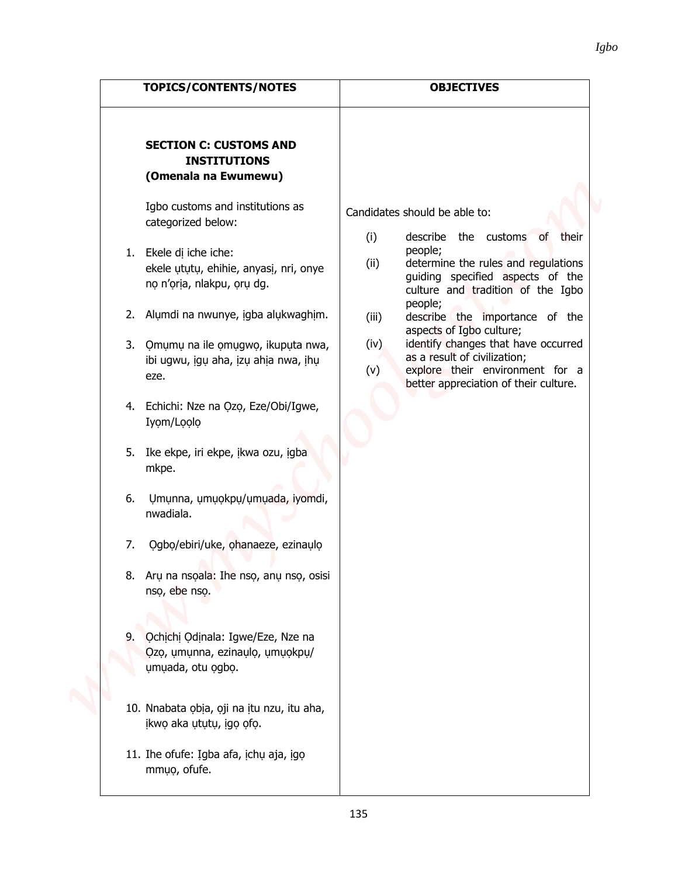| TOPICS/CONTENTS/NOTES                                                                                                                                                                                                                                                                                                                                                                                                                                                                                                                                                                                                                                                                                                                                                                                  | <b>OBJECTIVES</b>                                                                                                                                                                                                                                                                                                                                                                                                                                            |
|--------------------------------------------------------------------------------------------------------------------------------------------------------------------------------------------------------------------------------------------------------------------------------------------------------------------------------------------------------------------------------------------------------------------------------------------------------------------------------------------------------------------------------------------------------------------------------------------------------------------------------------------------------------------------------------------------------------------------------------------------------------------------------------------------------|--------------------------------------------------------------------------------------------------------------------------------------------------------------------------------------------------------------------------------------------------------------------------------------------------------------------------------------------------------------------------------------------------------------------------------------------------------------|
| <b>SECTION C: CUSTOMS AND</b><br><b>INSTITUTIONS</b><br>(Omenala na Ewumewu)                                                                                                                                                                                                                                                                                                                                                                                                                                                                                                                                                                                                                                                                                                                           |                                                                                                                                                                                                                                                                                                                                                                                                                                                              |
| Igbo customs and institutions as<br>categorized below:<br>1. Ekele di iche iche:<br>ekele ututu, ehihie, anyasi, nri, onye<br>no n'oria, nlakpu, oru dg.<br>2. Alumdi na nwunye, igba alukwaghim.<br>3. Omumu na ile omugwo, ikuputa nwa,<br>ibi ugwu, igu aha, izu ahia nwa, ihu<br>eze.<br>4. Echichi: Nze na Qzo, Eze/Obi/Igwe,<br>Iyom/Loolo<br>5. Ike ekpe, iri ekpe, ikwa ozu, igba<br>mkpe.<br>Umunna, umuokpu/umuada, iyomdi,<br>6.<br>nwadiala.<br>Ogbo/ebiri/uke, ohanaeze, ezinaulo<br>7.<br>8. Aru na nsoala: Ihe nso, anu nso, osisi<br>nso, ebe nso.<br>9. Ochichi Odinala: Igwe/Eze, Nze na<br>Qzo, umunna, ezinaulo, umuokpu/<br>umuada, otu ogbo.<br>10. Nnabata obia, oji na itu nzu, itu aha,<br>įkwo aka ututu, įgo ofo.<br>11. Ihe ofufe: Igba afa, ichu aja, igo<br>mmụọ, ofufe. | Candidates should be able to:<br>(i)<br>describe the customs of their<br>people;<br>determine the rules and regulations<br>(ii)<br>guiding specified aspects of the<br>culture and tradition of the Igbo<br>people;<br>describe the importance of the<br>(iii)<br>aspects of Igbo culture;<br>identify changes that have occurred<br>(iv)<br>as a result of civilization;<br>explore their environment for a<br>(v)<br>better appreciation of their culture. |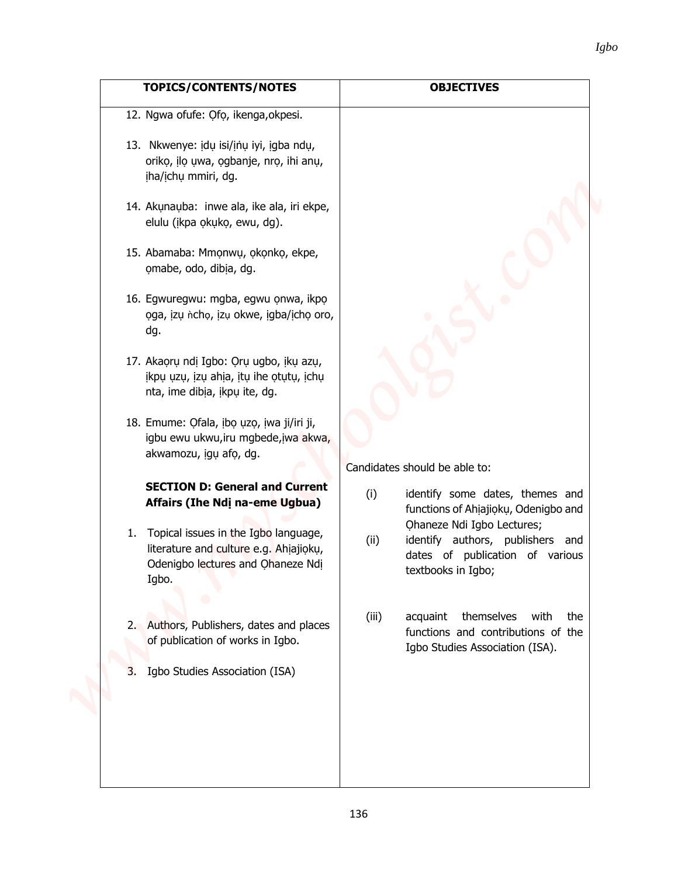| TOPICS/CONTENTS/NOTES                                                                                                           | <b>OBJECTIVES</b>                                                                                                               |  |
|---------------------------------------------------------------------------------------------------------------------------------|---------------------------------------------------------------------------------------------------------------------------------|--|
| 12. Ngwa ofufe: Ofo, ikenga, okpesi.                                                                                            |                                                                                                                                 |  |
| 13. Nkwenye: idu isi/inu iyi, igba ndu,<br>oriko, ilo uwa, ogbanje, nro, ihi anu,<br>įha/įchų mmiri, dg.                        |                                                                                                                                 |  |
| 14. Akunauba: inwe ala, ike ala, iri ekpe,<br>elulu (ikpa okuko, ewu, dg).                                                      |                                                                                                                                 |  |
| 15. Abamaba: Mmonwu, okonko, ekpe,<br>omabe, odo, dibia, dg.                                                                    |                                                                                                                                 |  |
| 16. Egwuregwu: mgba, egwu onwa, ikpo<br>oga, izu ncho, izu okwe, igba/icho oro,<br>dg.                                          |                                                                                                                                 |  |
| 17. Akaorų ndį Igbo: Orų ugbo, įkų azų,<br>įkpų ųzų, įzų ahia, įtų ihe otųtų, įchų<br>nta, ime dibia, ikpu ite, dg.             |                                                                                                                                 |  |
| 18. Emume: Ofala, įbo uzo, įwa ji/iri ji,<br>igbu ewu ukwu, iru mgbede, iwa akwa,<br>akwamozu, igu afo, dg.                     | Candidates should be able to:                                                                                                   |  |
| <b>SECTION D: General and Current</b><br>Affairs (Ihe Ndi na-eme Ugbua)                                                         | (i)<br>identify some dates, themes and<br>functions of Ahiajioku, Odenigbo and                                                  |  |
| 1. Topical issues in the Igbo language,<br>literature and culture e.g. Ahiajioku,<br>Odenigbo lectures and Ohaneze Ndi<br>Igbo. | Ohaneze Ndi Igbo Lectures;<br>identify authors, publishers and<br>(ii)<br>dates of publication of various<br>textbooks in Igbo; |  |
| 2. Authors, Publishers, dates and places<br>of publication of works in Igbo.                                                    | (iii)<br>themselves<br>with<br>acquaint<br>the<br>functions and contributions of the<br>Igbo Studies Association (ISA).         |  |
| 3. Igbo Studies Association (ISA)                                                                                               |                                                                                                                                 |  |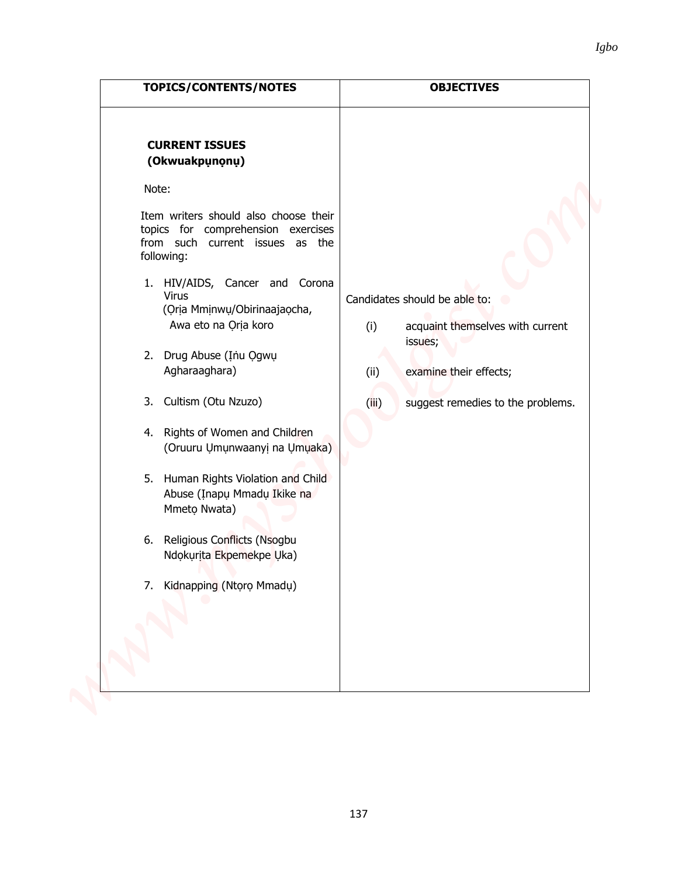| TOPICS/CONTENTS/NOTES                                                                                                                                                                                                                                                                                                                                                                                                                                                                                                                                                                                                   | <b>OBJECTIVES</b>                                                                                                                                                   |  |
|-------------------------------------------------------------------------------------------------------------------------------------------------------------------------------------------------------------------------------------------------------------------------------------------------------------------------------------------------------------------------------------------------------------------------------------------------------------------------------------------------------------------------------------------------------------------------------------------------------------------------|---------------------------------------------------------------------------------------------------------------------------------------------------------------------|--|
| <b>CURRENT ISSUES</b><br>(Okwuakpunonu)<br>Note:<br>Item writers should also choose their<br>topics for comprehension exercises<br>from such current issues as the<br>following:<br>1. HIV/AIDS, Cancer and Corona<br><b>Virus</b><br>(Oria Mminwu/Obirinaajaocha,<br>Awa eto na Oria koro<br>2. Drug Abuse (Inu Ogwu<br>Agharaaghara)<br>3. Cultism (Otu Nzuzo)<br>4. Rights of Women and Children<br>(Oruuru Umunwaanyi na Umuaka)<br>5. Human Rights Violation and Child<br>Abuse (Inapu Mmadu Ikike na<br>Mmeto Nwata)<br>6. Religious Conflicts (Nsogbu<br>Ndokurita Ekpemekpe Uka)<br>7. Kidnapping (Ntoro Mmadu) | Candidates should be able to:<br>acquaint themselves with current<br>(i)<br>issues;<br>examine their effects;<br>(ii)<br>(iii)<br>suggest remedies to the problems. |  |